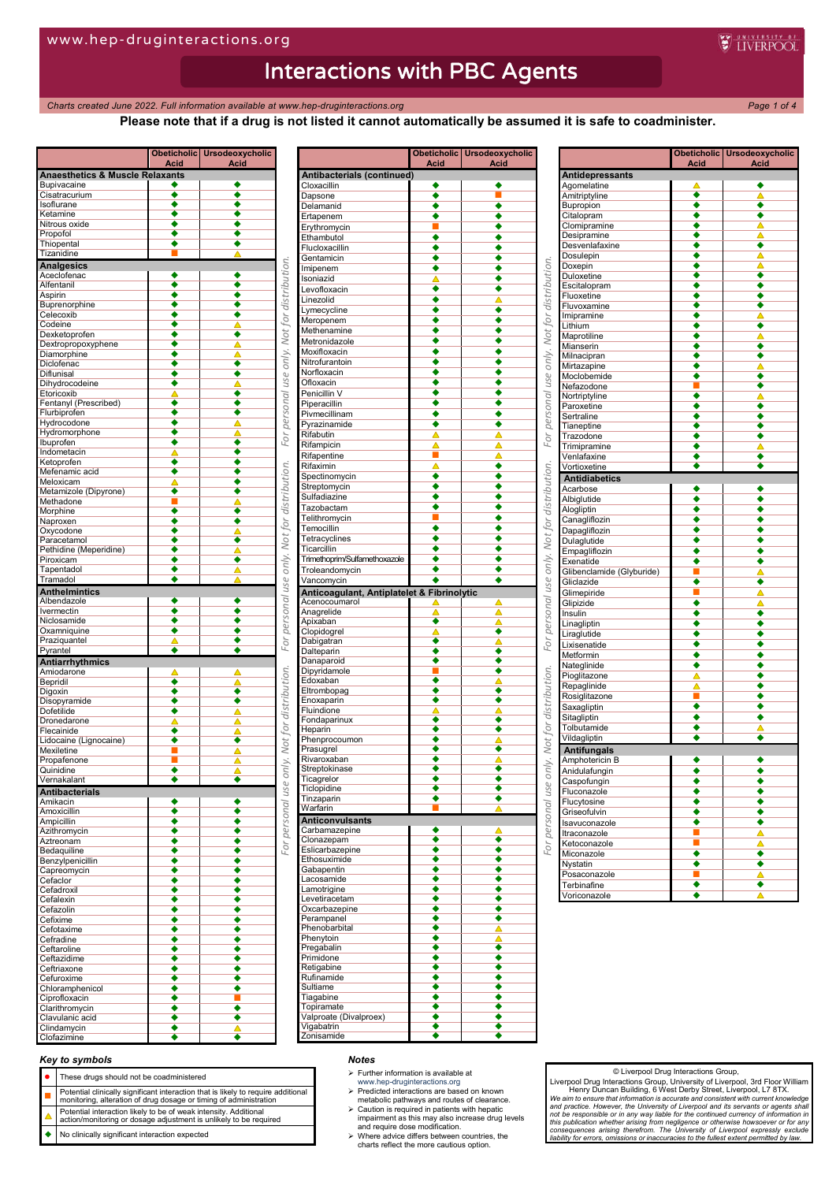*Charts created June 2022. Full information available at www.hep-druginteractions.org Page 1 of 4*

**Please note that if a drug is not listed it cannot automatically be assumed it is safe to coadminister.**

**E** INFRPOOL

#### **Obeticholic Acid Ursodeoxycholic Acid Anaesthetics & Muscle Relaxants** Bupivacaine Cisatracurium **Company** soflurane Ketamine Nitrous oxide Propofol Thiopental **Tizanidine Analgesics** Aceclofenac Alfentanil Aspirin Buprenorphine **Contains Container** Celecoxib **Codeine** Dexketoprofen **Dextropropoxyphene** Diamorphine Diclofenac**e and the series of the series of the series of the series of the series of the series of the series Diflunisal Dihydrocodeine** Etoricoxib Fentanyl (Prescribed) Flurbiprofen **Hydrocodone** Hydromorphone Ibuprofen Indometacin Ketoprofen Mefenamic acid Meloxicam **A** Metamizole (Dipyrone) Methadone **Morphine** Naproxen Oxycodone <del>Oxycousine</del><br>Paracetamol<br>Perhidine (Meneridine) Pethidine (Meperidine) Piroxicam **+** Tapentadol Tramadol **Anthelmintics** Albendazole **I A** I A vermectin<br>Viclosamide **Carl Contract Contract Contract Contract Contract Contract Contract Contract Contract Contract Co Niclosamide** Oxamniquine Praziquantel Pyrantel **Antiarrhythmics** Amiodaro <u>Bepridil</u> Digoxin Disopyramide Dofetilide **Contact Contact Contact Contact Contact Contact Contact Contact Contact Contact Contact Contact Contact Contact Contact Contact Contact Contact Contact Contact Contact Contact Contact Contact Contact Contact Co** Dronedarone Flecainide Lidocaine (Lignocaine) **Mexiletine** Propafenone Quinidine Zernakalan **Antibacterials** Amikacin Amoxicillin **amoxicillin** Ampicillin Azithromycin Aztreonam <u>Bedaquiline</u><br>Bedaquiline ●<br>Benzylnenicillin Benzylpenicillin **+** Capreomycin Cefaclor Cefadroxil **Cefalexin** Cefazolin Cefixime **Communist Communist Communist Communist Communist Communist Communist Communist Communist Communist Communist Communist Communist Communist Communist Communist Communist Communist Communist Communist Communist Co Cefotaxime** Cefradine Ceftaroline **Ceftazidime** Ceftriaxone **Cefuroxime** Chloramphenicol Ciprofloxacin Clarithromycin Clavulanic acid Clindamycin Clofazimine ◆ ◆ ◆

|                                            | Acid                        | Obeticholic Ursodeoxycholic<br><u>Acid</u> |
|--------------------------------------------|-----------------------------|--------------------------------------------|
| Antibacterials (continued)                 |                             |                                            |
| Cloxacillin                                |                             |                                            |
| Dapsone                                    | ٠                           |                                            |
|                                            |                             |                                            |
| Delamanid<br>Ertapenem                     |                             |                                            |
|                                            |                             |                                            |
| Erythromycin                               |                             |                                            |
| Ethambutol                                 | ٠                           |                                            |
| Flucloxacillin                             | ٠                           |                                            |
| Gentamicin                                 | ٠                           |                                            |
| Imipenem                                   | ٠                           |                                            |
| Isoniazid                                  |                             |                                            |
| Levofloxacin                               | ٠                           |                                            |
| Linezolid                                  | ٠                           | Δ                                          |
| Lymecycline                                | ٠                           | ٠                                          |
| Meropenem                                  | ٠                           | ٠                                          |
|                                            | ٠                           |                                            |
| Methenamine                                |                             |                                            |
| Metronidazole                              | ٠                           |                                            |
| Moxifloxacin                               | ٠                           | ٠                                          |
| Nitrofurantoin                             |                             |                                            |
| Norfloxacin                                |                             |                                            |
| Ofloxacin                                  |                             |                                            |
| Penicillin V                               | ٠                           |                                            |
| Piperacillin                               | ٠                           |                                            |
| Pivmecillinam                              | ٠                           |                                            |
| Pyrazinamide                               | ٠                           |                                            |
| Rifabutin                                  |                             |                                            |
|                                            |                             | Δ                                          |
| Rifampicin                                 | $\triangleq$                | Δ                                          |
| Rifapentine                                |                             | Δ                                          |
| Rifaximin                                  | Δ                           | ٠                                          |
| Spectinomycin                              | ٠                           | ٠                                          |
| Streptomycin                               | ٠                           | ٠                                          |
| Sulfadiazine                               | ∙                           |                                            |
| Tazobactam                                 | ٠                           |                                            |
| Telithromycin                              | ■                           |                                            |
| Temocillin                                 | ٠                           | ۰                                          |
| Tetracyclines                              | ٠                           | ۰                                          |
| Ticarcillin                                | ٠                           |                                            |
|                                            |                             |                                            |
| Trimethoprim/Sulfamethoxazole              | ٠                           |                                            |
| Troleandomycin                             | ٠                           | ٠                                          |
| Vancomycin                                 | ٠                           | ٠                                          |
| Anticoagulant, Antiplatelet & Fibrinolytic |                             |                                            |
| Acenocoumarol                              |                             | Δ                                          |
| Anagrelide                                 | $\overline{\blacktriangle}$ | Δ                                          |
| Apixaban                                   | ٠                           | Δ                                          |
| Clopidogrel                                |                             | ۰                                          |
| Dabigatran                                 |                             |                                            |
| Dalteparin                                 |                             |                                            |
| Danaparoid                                 |                             |                                            |
| Dipyridamole                               |                             |                                            |
| Edoxaban                                   | ۰                           |                                            |
| Eltrombopag                                |                             |                                            |
| Enoxaparin                                 |                             |                                            |
| Fluindione                                 |                             |                                            |
| Fondaparinux                               |                             |                                            |
| Heparin                                    |                             |                                            |
| Phenprocoumon                              | ٠                           |                                            |
| Prasugrel                                  |                             |                                            |
| Rivaroxaban                                |                             |                                            |
| Streptokinase                              |                             |                                            |
| Ticagrelor                                 |                             |                                            |
| Ticlopidine                                |                             |                                            |
| Tinzaparin                                 |                             |                                            |
| Warfarin                                   |                             |                                            |
| <b>Anticonvulsants</b>                     |                             |                                            |
| Carbamazepine                              |                             |                                            |
| Clonazepam                                 | ٠                           | ٠                                          |
|                                            | ∙                           | ٠                                          |
| Eslicarbazepine                            |                             |                                            |
| Ethosuximide                               | ٠<br>٠                      | ٠                                          |
| Gabapentin                                 |                             | ٠                                          |
|                                            |                             |                                            |
| Lacosamide                                 | ٠                           | ٠                                          |
| Lamotrigine                                | ٠                           | $\bullet$                                  |
| Levetiracetam                              | ٠                           | ٠                                          |
| Oxcarbazepine                              | ٠                           | ٠                                          |
| Perampanel                                 | ٠                           | ◆                                          |
| Phenobarbital                              | ٠                           | △                                          |
| Phenytoin                                  | ٠                           | Δ                                          |
| Pregabalin                                 | ٠                           | $\bullet$                                  |
| Primidone                                  | ٠                           | ٠                                          |
| Retigabine                                 | ٠                           | ٠                                          |
| Rufinamide                                 | ٠                           | ٠                                          |
| Sultiame                                   | ٠                           | ٠                                          |
| Tiagabine                                  | ٠                           | ٠                                          |
| Topiramate                                 | ٠                           | $\bullet$                                  |
| Valproate (Divalproex)                     | ٠                           | ٠                                          |
| Vigabatrin<br>Zonisamide                   | ٠                           | ٠                                          |

|                                                                                           |                            | Acid                 | Obeticholic   Ursodeoxycholic<br>Acid |
|-------------------------------------------------------------------------------------------|----------------------------|----------------------|---------------------------------------|
|                                                                                           | <b>Antidepressants</b>     |                      |                                       |
|                                                                                           | Agomelatine                |                      | ٠                                     |
|                                                                                           | Amitriptyline              | $\overline{\bullet}$ |                                       |
|                                                                                           | Bupropion                  | ◆<br>٠               | ٠                                     |
|                                                                                           | Citalopram<br>Clomipramine |                      |                                       |
|                                                                                           | Desipramine                |                      | △                                     |
|                                                                                           | Desvenlafaxine             |                      |                                       |
|                                                                                           | Dosulepin                  |                      |                                       |
|                                                                                           | Doxepin                    | ٠                    | Δ                                     |
|                                                                                           | Duloxetine                 |                      |                                       |
|                                                                                           | Escitalopram               |                      |                                       |
|                                                                                           | Fluoxetine                 |                      |                                       |
|                                                                                           | Fluvoxamine                | ٠                    |                                       |
|                                                                                           | Imipramine<br>Lithium      |                      | ٠                                     |
|                                                                                           | Maprotiline                |                      |                                       |
|                                                                                           | Mianserin                  |                      |                                       |
|                                                                                           | Milnacipran                |                      |                                       |
|                                                                                           | Mirtazapine                | ٠                    |                                       |
| For personal use only. Not for distribution. For personal use only. Not for distribution. | Moclobemide                | ٠                    | ٠                                     |
|                                                                                           | Nefazodone                 |                      |                                       |
|                                                                                           | Nortriptyline              |                      |                                       |
|                                                                                           | Paroxetine                 |                      |                                       |
|                                                                                           | Sertraline                 |                      |                                       |
|                                                                                           | Tianeptine<br>Trazodone    |                      |                                       |
|                                                                                           | Trimipramine               |                      |                                       |
|                                                                                           | Venlafaxine                |                      |                                       |
|                                                                                           | Vortioxetine               | ٠                    |                                       |
|                                                                                           | <b>Antidiabetics</b>       |                      |                                       |
|                                                                                           | Acarbose                   | ٠                    | ٠                                     |
|                                                                                           | Albiglutide                | ∔                    |                                       |
|                                                                                           | Alogliptin                 | ٠                    | ٠                                     |
|                                                                                           | Canagliflozin              |                      |                                       |
|                                                                                           | Dapagliflozin              |                      |                                       |
|                                                                                           | Dulaglutide                | ٠                    |                                       |
|                                                                                           | Empagliflozin              | $\overline{\bullet}$ | ٠                                     |
|                                                                                           | Exenatide                  | ٠                    | ٠                                     |
|                                                                                           | Glibenclamide (Glyburide)  | П                    | Δ                                     |
|                                                                                           | Gliclazide                 |                      | ٠                                     |
|                                                                                           | Glimepiride                | П                    |                                       |
|                                                                                           | Glipizide<br>Insulin       | ٠                    | Δ                                     |
|                                                                                           | Linagliptin                |                      | ٠                                     |
|                                                                                           | Liraglutide                | ٠                    | ٠                                     |
|                                                                                           | Lixisenatide               | ٠                    | ٠                                     |
|                                                                                           | Metformin                  | ٠                    |                                       |
|                                                                                           | Nateglinide                | ٠                    |                                       |
|                                                                                           | Pioglitazone               | Δ                    |                                       |
|                                                                                           | Repaglinide                |                      | ٠                                     |
|                                                                                           | Rosiglitazone              | $\triangleq$         |                                       |
|                                                                                           | Saxagliptin                | $\overline{\bullet}$ |                                       |
|                                                                                           | Sitagliptin                |                      |                                       |
|                                                                                           | Tolbutamide                | ٠                    | Δ                                     |
|                                                                                           | Vildagliptin               | ٠                    | ٠                                     |
| For personal use only. Not for distribution.                                              | <b>Antifungals</b>         |                      |                                       |
|                                                                                           | Amphotericin B             |                      |                                       |
|                                                                                           | Anidulafungin              |                      |                                       |
|                                                                                           | Caspofungin                |                      |                                       |
|                                                                                           | Fluconazole                |                      |                                       |
|                                                                                           | Flucytosine                |                      |                                       |
|                                                                                           | Griseofulvin               | ٠                    | ٠                                     |
|                                                                                           | Isavuconazole              | ٠                    | ٠<br>Δ                                |
|                                                                                           | Itraconazole               | ш                    | Δ                                     |
|                                                                                           | Ketoconazole<br>Miconazole | $\overline{\bullet}$ | ٠                                     |
|                                                                                           | Nystatin                   | $\overline{\bullet}$ | ٠                                     |
|                                                                                           | Posaconazole               |                      |                                       |
|                                                                                           | Terbinafine                |                      |                                       |
|                                                                                           | Voriconazole               | ◆                    |                                       |
|                                                                                           |                            |                      |                                       |

#### *Key to symbols*

- These drugs should not be coadministered
- 
- **Potential clinically significant interaction that is likely to require additional**<br>monitoring, alteration of drug dosage or timing of administration
- Potential interaction likely to be of weak intensity. Additional
- action/monitoring or dosage adjustment is unlikely to be required

## No clinically significant interaction expected

## *Notes*

- $\triangleright$  Further information is available at
- www.hep-druginteractions.org Predicted interactions are based on known
- metabolic pathways and routes of clearance.
- Caution is required in patients with hepatic impairment as this may also increase drug levels and require dose modification.
- Where advice differs between countries, the charts reflect the more cautious option.

#### © Liverpool Drug Interactions Group,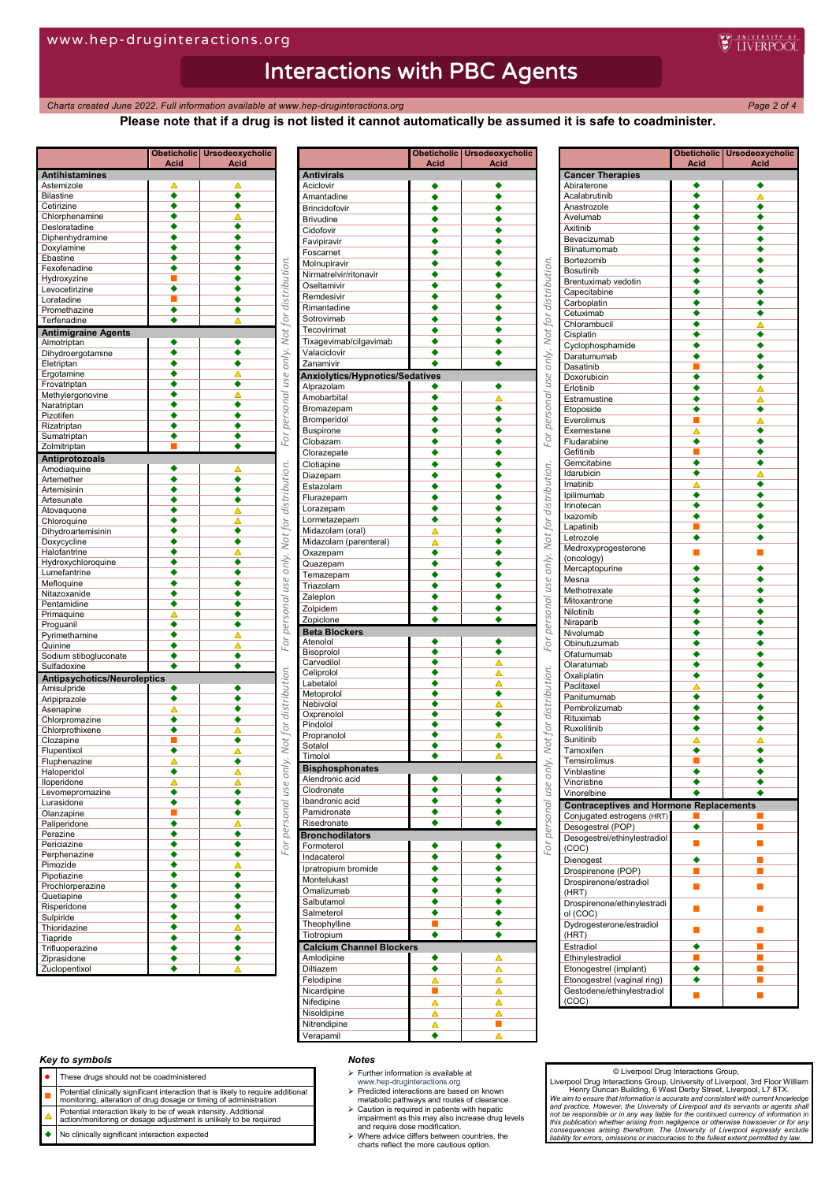*Charts created June* 2022. Full information available at www.hep-druginteractions.org Page 2 of 4

 $\mathbf{r}$ 

**E** INFRPOOL

## **Please note that if a drug is not listed it cannot automatically be assumed it is safe to coadminister.**

|                                    | Obeticholic  <br>Acid     | Ursodeoxycholic<br>Acid                |                                              |                              |
|------------------------------------|---------------------------|----------------------------------------|----------------------------------------------|------------------------------|
| <b>Antihistamines</b>              |                           |                                        |                                              | A                            |
| Astemizole                         | ▵                         | ▵                                      |                                              | A                            |
| <b>Bilastine</b>                   | ∙                         | ٠                                      |                                              | $\overline{A}$               |
| Cetirizine<br>Chlorphenamine       | ٠<br>٠                    | ٠                                      |                                              | B                            |
| Desloratadine                      | ٠                         | ٠                                      |                                              | B<br>C                       |
| Diphenhydramine                    | ٠                         | ٠                                      |                                              | F                            |
| Doxylamine                         | ٠                         | $\overline{\bullet}$                   |                                              | F                            |
| Ebastine                           | ٠                         | ٠                                      |                                              | N                            |
| Fexofenadine                       | ٠<br>■                    |                                        |                                              | N                            |
| Hydroxyzine<br>Levocetirizine      | $\overline{\bullet}$      | ٠<br>٠                                 |                                              | C                            |
| Loratadine                         | П                         | ٠                                      |                                              | R                            |
| Promethazine                       | ٠                         | ٠                                      |                                              | R                            |
| Terfenadine                        | ٠                         |                                        | For personal use only. Not for distribution  | S                            |
| <b>Antimigraine Agents</b>         |                           |                                        |                                              | T<br>$\overline{\mathsf{T}}$ |
| Almotriptan                        | ٠                         | ٠                                      |                                              | V                            |
| Dihydroergotamine<br>Eletriptan    | ٠<br>٠                    | ٠<br>٠                                 |                                              | $\overline{z}$               |
| Ergotamine                         | ٠                         |                                        |                                              | $\overline{\mathsf{A}}$      |
| Frovatriptan                       | ٠                         | ٠                                      |                                              | A                            |
| Methylergonovine                   | ٠                         |                                        |                                              | A                            |
| Naratriptan                        | ٠                         | ٠                                      |                                              | B                            |
| Pizotifen                          | ٠                         | $\overline{\bullet}$                   |                                              | B                            |
| Rizatriptan<br>Sumatriptan         | ٠<br>٠                    | ٠                                      |                                              | B                            |
| Zolmitriptan                       |                           | ٠                                      |                                              | C                            |
| Antiprotozoals                     |                           |                                        |                                              | C                            |
| Amodiaquine                        |                           | Δ                                      |                                              | C                            |
| Artemether                         | ٠                         | ٠                                      |                                              | D<br>E                       |
| Artemisinin                        | ٠                         | ٠                                      |                                              | F                            |
| Artesunate                         | ٠<br>٠                    | $\overline{\bullet}$                   |                                              | L                            |
| Atovaquone<br>Chloroquine          |                           | Δ                                      |                                              | Ь                            |
| Dihydroartemisinin                 | ٠                         | ٠                                      |                                              | N                            |
| Doxycycline                        | ٠                         | $\overline{\bullet}$                   |                                              | N                            |
| Halofantrine                       | ٠                         | Δ                                      |                                              | C                            |
| Hydroxychloroquine                 | ٠                         | ٠                                      |                                              | Q                            |
| Lumefantrine                       | ٠<br>٠                    | ٠                                      | For personal use only. Not for distribution. | T                            |
| Mefloquine<br>Nitazoxanide         | ٠                         | ٠<br>٠                                 |                                              | T                            |
| Pentamidine                        | ٠                         | ٠                                      |                                              | $\overline{z}$               |
| Primaquine                         | Δ                         | ٠                                      |                                              | Z<br>Z                       |
| Proguanil                          | ٠                         | ٠                                      |                                              | B                            |
| Pyrimethamine                      | ٠                         | Δ                                      |                                              | Α                            |
| Quinine<br>Sodium stibogluconate   | ٠<br>٠                    | Δ<br>$\overline{\bullet}$              |                                              | $\overline{B}$               |
| Sulfadoxine                        | ∙                         | ٠                                      |                                              | C                            |
| <b>Antipsychotics/Neuroleptics</b> |                           |                                        | only. Not for distribution.                  | $\overline{c}$               |
| Amisulpride                        | ٠                         | ٠                                      |                                              | L                            |
| Aripiprazole                       | ٠                         | ٠                                      |                                              | N<br>N                       |
| Asenapine                          | ≜                         | ٠                                      |                                              | $\overline{c}$               |
| Chlorpromazine                     |                           | ٠                                      |                                              | $\overline{P}$               |
| Chlorprothixene<br>Clozapine       | ٠                         | Δ<br>٠                                 |                                              | $\overline{P}$               |
| Flupentixol                        | ٠                         | Δ                                      |                                              | s                            |
| Fluphenazine                       | Δ                         | $\overline{\bullet}$                   |                                              | T                            |
| Haloperidol                        | ٠                         | Δ                                      |                                              | B                            |
| lloperidone                        |                           |                                        |                                              | A<br>C                       |
| Levomepromazine                    | ٠                         | ٠<br>◆                                 |                                              | It                           |
| Lurasidone<br>Olanzapine           | ٠<br>П                    | ٠                                      |                                              | P                            |
| Paliperidone                       | $\overline{\bullet}$      | Δ                                      | For personal use                             | R                            |
| Perazine                           | ٠                         | ٠                                      |                                              | B                            |
| Periciazine                        | $\overline{\bullet}$      | ٠                                      |                                              | F                            |
| Perphenazine                       | ٠                         | ٠                                      |                                              | Ir                           |
| Pimozide                           | ◆                         | $\triangle$                            |                                              | Ιŗ                           |
| Pipotiazine<br>Prochlorperazine    | ٠<br>$\ddot{\bullet}$     | ٠<br>٠                                 |                                              | N                            |
| Quetiapine                         | $\overline{\bullet}$      | ٠                                      |                                              | $\overline{C}$               |
| Risperidone                        | ٠                         | ۰                                      |                                              | S                            |
| Sulpiride                          | ٠                         | ٠                                      |                                              | s<br>T                       |
| Thioridazine                       | ٠                         | $\frac{\blacktriangle}{\blacklozenge}$ |                                              | $\overline{\mathsf{T}}$      |
| Tiapride                           | $\overline{\bullet}$<br>∙ |                                        |                                              | $\overline{c}$               |
| Trifluoperazine<br>Ziprasidone     | ٠                         | ٠<br>٠                                 |                                              | A                            |
| Zuclopentixol                      | ٠                         |                                        |                                              | $\frac{1}{D}$                |
|                                    |                           |                                        |                                              |                              |

|                                 | Acid | Obeticholic   Ursodeoxycholic<br><u>Acid</u> |
|---------------------------------|------|----------------------------------------------|
| <b>Antivirals</b>               |      |                                              |
| Aciclovir                       | ٠    |                                              |
| Amantadine                      | ٠    | ٠                                            |
| Brincidofovir                   | ٠    | ٠                                            |
| Brivudine                       |      |                                              |
| Cidofovir                       | ٠    | ٠                                            |
|                                 |      |                                              |
| Favipiravir                     | ٠    | ٠                                            |
| Foscarnet                       | ٠    | ٠                                            |
| Molnupiravir                    | ٠    | ٠                                            |
| Nirmatrelvir/ritonavir          | ٠    |                                              |
| Oseltamivir                     | ٠    | ٠                                            |
| Remdesivir                      | ٠    | ٠                                            |
| Rimantadine                     |      |                                              |
|                                 |      |                                              |
| Sotrovimab                      | ٠    |                                              |
| Tecovirimat                     | ٠    | ٠                                            |
| Tixagevimab/cilgavimab          |      | ٠                                            |
| Valaciclovir                    |      | ∙                                            |
| Zanamivir                       |      |                                              |
| Anxiolytics/Hypnotics/Sedatives |      |                                              |
| Alprazolam                      | ٠    | ٠                                            |
|                                 | ٠    |                                              |
| Amobarbital                     |      | Δ                                            |
| Bromazepam                      | ٠    | ٠                                            |
| Bromperidol                     | ٠    | ٠                                            |
| <b>Buspirone</b>                | ٠    | ٠                                            |
| Clobazam                        | ٠    | ٠                                            |
| Clorazepate                     | ٠    | ٠                                            |
| Clotiapine                      | ٠    | ٠                                            |
| Diazepam                        | ∙    | ٠                                            |
| Estazolam                       | ٠    | ٠                                            |
|                                 | ٠    |                                              |
| Flurazepam                      |      | ٠                                            |
| Lorazepam                       | ٠    | ٠                                            |
| Lormetazepam                    | ٠    | ٠                                            |
| Midazolam (oral)                | Δ    | ٠                                            |
| Midazolam (parenteral)          | Δ    | ٠                                            |
| Oxazepam                        | ٠    |                                              |
| Quazepam                        | ٠    | ٠                                            |
| Temazepam                       | ٠    | ٠                                            |
| Triazolam                       | ٠    |                                              |
| Zaleplon                        | ٠    | ٠                                            |
|                                 |      |                                              |
| Zolpidem                        | ٠    | ٠                                            |
| Zopiclone                       | ٠    | ٠                                            |
| <b>Beta Blockers</b>            |      |                                              |
| Atenolol                        |      |                                              |
| Bisoprolol                      |      |                                              |
| Carvedilol                      | ٠    | Δ                                            |
| Celiprolol                      |      | Δ                                            |
| Labetalol                       | ٠    | Δ                                            |
| Metoprolol                      | ٠    | $\overline{\bullet}$                         |
| Nebivolol                       |      | Δ                                            |
| Oxprenolol                      |      | ٠                                            |
| Pindolol                        |      | ٠                                            |
| Propranolol                     | ٠    | Δ                                            |
| Sotalol                         | ◆    | ٠                                            |
| Timolol                         | ٠    | À                                            |
| <b>Bisphosphonates</b>          |      |                                              |
| Alendronic acid                 |      |                                              |
| Clodronate                      | ٠    | ٠                                            |
|                                 |      |                                              |
| Ibandronic acid                 | ٠    | ٠                                            |
| Pamidronate                     | ٠    | ٠                                            |
| Risedronate                     | ٠    | ٠                                            |
| <b>Bronchodilators</b>          |      |                                              |
| Formoterol                      | ٠    | ٠                                            |
| Indacaterol                     | ٠    | ٠                                            |
| Ipratropium bromide             |      | ٠                                            |
| Montelukast                     | ٠    | ٠                                            |
|                                 |      |                                              |
| Omalizumab                      | ٠    | ٠                                            |
| Salbutamol                      | ٠    | ٠                                            |
| Salmeterol                      | ٠    | ٠                                            |
| Theophylline                    | E    | ٠                                            |
| Tiotropium                      | ٠    | ٠                                            |
| <b>Calcium Channel Blockers</b> |      |                                              |
| Amlodipine                      | ٠    | Δ                                            |
|                                 |      |                                              |
| Diltiazem                       | ٠    | Δ                                            |
| Felodipine                      | Δ    | $\overline{\blacktriangle}$                  |
| Nicardipine                     | П    | Δ                                            |
|                                 |      | Δ                                            |
| Nifedipine                      | Δ    |                                              |
| Nisoldipine                     | Δ    | Δ                                            |
| Nitrendipine                    | Δ    | П                                            |

|                                                           | <u>Acid</u>                 | Obeticholic Ursodeoxycholic<br><u>Acid</u> |
|-----------------------------------------------------------|-----------------------------|--------------------------------------------|
| <b>Cancer Therapies</b>                                   |                             |                                            |
| Abiraterone                                               | ٠                           |                                            |
| Acalabrutinib                                             | ٠                           | Δ                                          |
| Anastrozole                                               | ٠                           | ٠                                          |
| Avelumab                                                  | ٠                           | ٠                                          |
| Axitinib                                                  | ٠                           |                                            |
| Bevacizumab                                               | ٠                           |                                            |
| Blinatumomab                                              | ٠                           |                                            |
| Bortezomib                                                | ٠                           | ٠                                          |
| <b>Bosutinib</b>                                          | ٠                           |                                            |
| Brentuximab vedotin                                       | ٠                           |                                            |
| Capecitabine                                              | ٠                           |                                            |
| Carboplatin                                               | ٠                           |                                            |
| Cetuximab                                                 | ٠                           |                                            |
| Chlorambucil<br>Cisplatin                                 | ٠<br>٠                      | ٠                                          |
| Cyclophosphamide                                          | ٠                           | ٠                                          |
|                                                           |                             |                                            |
| Daratumumab<br>Dasatinib                                  | ٠                           |                                            |
| Doxorubicin                                               | $\blacksquare$<br>٠         |                                            |
| Erlotinib                                                 | ٠                           |                                            |
| Estramustine                                              | ٠                           | Δ                                          |
|                                                           | ٠                           | Δ<br>٠                                     |
| Etoposide<br>Everolimus                                   | Π                           |                                            |
| Exemestane                                                |                             |                                            |
| Fludarabine                                               | Δ<br>٠                      |                                            |
| Gefitinib                                                 | П                           |                                            |
| Gemcitabine                                               | ٠                           |                                            |
| Idarubicin                                                | ٠                           |                                            |
| Imatinib                                                  |                             |                                            |
| Ipilimumab                                                | △<br>٠                      | ٠                                          |
| Irinotecan                                                | ٠                           |                                            |
| Ixazomib                                                  | ٠                           |                                            |
| Lapatinib                                                 | $\blacksquare$              |                                            |
| Letrozole                                                 | ٠                           |                                            |
| Medroxyprogesterone                                       |                             |                                            |
| (oncology)                                                | П                           |                                            |
| Mercaptopurine                                            | ٠                           |                                            |
| Mesna                                                     | ٠                           | ٠                                          |
| Methotrexate                                              | ٠                           |                                            |
| Mitoxantrone                                              | ٠                           |                                            |
| Nilotinib                                                 | ٠                           |                                            |
| Niraparib                                                 | ٠                           | ٠                                          |
| Nivolumab                                                 | ٠                           |                                            |
| Obinutuzumab                                              | ٠                           |                                            |
| Ofatumumab                                                | ٠                           |                                            |
| Olaratumab                                                | ٠                           |                                            |
| Oxaliplatin                                               | ٠                           |                                            |
| Paclitaxel                                                | Δ                           |                                            |
| Panitumumab                                               | ٠                           |                                            |
| Pembrolizumab                                             | ٠                           |                                            |
| Rituximab                                                 | ٠                           |                                            |
| Ruxolitinib                                               | ٠                           |                                            |
| Sunitinib                                                 | $\overline{\blacktriangle}$ | Δ                                          |
| Tamoxifen                                                 | ٠                           |                                            |
| Temsirolimus                                              |                             |                                            |
| Vinblastine                                               |                             |                                            |
| Vincristine                                               |                             |                                            |
| Vinorelbine                                               |                             |                                            |
| <b>Contraceptives and Hormone Replacements</b>            |                             |                                            |
| Conjugated estrogens (HRT)                                |                             |                                            |
| Desogestrel (POP)                                         | ٠                           |                                            |
|                                                           |                             | ┓                                          |
| Desogestrel/ethinylestradiol                              |                             |                                            |
| (COC)                                                     | П                           |                                            |
| Dienogest                                                 | ٠                           | Π                                          |
| Drospirenone (POP)                                        | ш                           |                                            |
| Drospirenone/estradiol                                    |                             |                                            |
| (HRT)                                                     | П                           |                                            |
|                                                           |                             |                                            |
| Drospirenone/ethinylestradi                               | П                           |                                            |
| ol (COC)                                                  |                             |                                            |
| Dydrogesterone/estradiol                                  | $\blacksquare$              |                                            |
| (HRT)                                                     |                             |                                            |
| Estradiol                                                 | ٠                           | ▅                                          |
| Ethinylestradiol                                          | <b>I</b>                    |                                            |
| Etonogestrel (implant)                                    | ٠                           | П                                          |
| Etonogestrel (vaginal ring)<br>Gestodene/ethinylestradiol | ٠<br>П                      | ш<br>$\blacksquare$                        |

## *Key to symbols*

- These drugs should not be coadministered
- 
- **Potential clinically significant interaction that is likely to require additional**<br>monitoring, alteration of drug dosage or timing of administration
- Potential interaction likely to be of weak intensity. Additional action/monitoring or dosage adjustment is unlikely to be required
- No clinically significant interaction expected

### *Notes*

- $\triangleright$  Further information is available at
- 
- www.hep-druginteractions.org Predicted interactions are based on known metabolic pathways and routes of clearance.
- Caution is required in patients with hepatic impairment as this may also increase drug levels and require dose modification. Where advice differs between countries, the charts reflect the more cautious option.
- 

## © Liverpool Drug Interactions Group,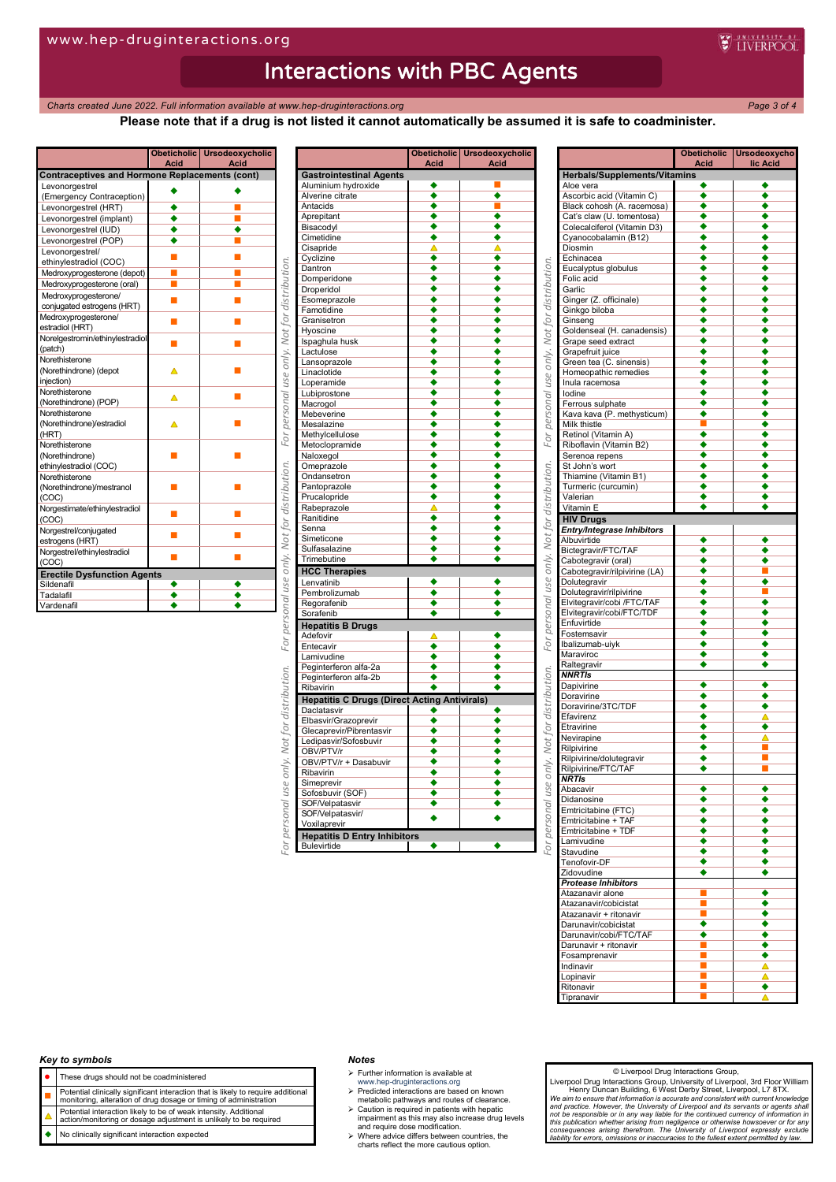**Charts created June 2022. Full information available at www.hep-druginteractions.org Page 3 of 4** 

**WEINERPOOL** 

## **Please note that if a drug is not listed it cannot automatically be assumed it is safe to coadminister.**

|                                                       | <b>Acid</b> | Obeticholic Ursodeoxycholic<br><b>Acid</b> |  |
|-------------------------------------------------------|-------------|--------------------------------------------|--|
| <b>Contraceptives and Hormone Replacements (cont)</b> |             |                                            |  |
| Levonorgestrel                                        |             |                                            |  |
| (Emergency Contraception)                             |             |                                            |  |
| Levonorgestrel (HRT)                                  |             |                                            |  |
| Levonorgestrel (implant)                              |             |                                            |  |
| Levonorgestrel (IUD)                                  |             |                                            |  |
| Levonorgestrel (POP)                                  |             |                                            |  |
| Levonorgestrel/<br>ethinylestradiol (COC)             |             |                                            |  |
| Medroxyprogesterone (depot)                           | г           |                                            |  |
| Medroxyprogesterone (oral)                            |             |                                            |  |
| Medroxyprogesterone/                                  |             |                                            |  |
| conjugated estrogens (HRT)                            |             |                                            |  |
| Medroxyprogesterone/<br>estradiol (HRT)               |             |                                            |  |
| Norelgestromin/ethinylestradiol<br>(patch)            |             |                                            |  |
| Norethisterone                                        |             |                                            |  |
| (Norethindrone) (depot                                |             |                                            |  |
| injection)                                            |             |                                            |  |
| Norethisterone                                        |             |                                            |  |
| (Norethindrone) (POP)                                 |             |                                            |  |
| Norethisterone                                        |             |                                            |  |
| (Norethindrone)/estradiol                             |             |                                            |  |
| (HRT)                                                 |             |                                            |  |
| Norethisterone                                        |             |                                            |  |
| (Norethindrone)                                       |             |                                            |  |
| ethinylestradiol (COC)                                |             |                                            |  |
| Norethisterone<br>(Norethindrone)/mestranol           |             |                                            |  |
| (COC)                                                 |             |                                            |  |
| Norgestimate/ethinylestradiol                         |             |                                            |  |
| (COC)                                                 |             |                                            |  |
| Norgestrel/conjugated                                 |             |                                            |  |
| estrogens (HRT)                                       |             |                                            |  |
| Norgestrel/ethinylestradiol                           |             |                                            |  |
| (COC)                                                 |             |                                            |  |
| <b>Erectile Dysfunction Agents</b>                    |             |                                            |  |
| Sildenafil                                            |             |                                            |  |
| Tadalafil                                             |             |                                            |  |
| Vardenafil                                            |             |                                            |  |

| <b>Gastrointestinal Agents</b><br>Aluminium hydroxide<br>٠<br>Alverine citrate<br>Antacids<br>Aprepitant<br>٠<br>Bisacodyl<br>٠<br>Cimetidine<br>٠<br>Δ<br>Cisapride<br>♦<br>۱<br>Cyclizine<br>Dantron<br>٠<br>٠<br>٠<br>Domperidone<br>٠<br>$\overline{\bullet}$<br>Droperidol<br>∙<br>Esomeprazole<br>Famotidine<br>٠<br>Granisetron<br>Hyoscine<br>Ispaghula husk<br>٠<br>٠<br>Lactulose<br>Lansoprazole<br>۰<br>٠<br>Linaclotide<br>$\overline{\bullet}$<br>$\overline{\bullet}$<br>Loperamide<br>Lubiprostone<br>٠<br>Macrogol<br>Mebeverine<br>Mesalazine<br>Methylcellulose<br>Metoclopramide<br>$\overline{\bullet}$<br>Naloxegol<br>Omeprazole<br>٠<br>٠<br>Ondansetron<br>٠<br>٠<br>Pantoprazole<br>Prucalopride<br>٠<br>Rabeprazole<br>Ranitidine<br>٠<br>Senna<br>٠<br>Simeticone<br>Sulfasalazine<br>Trimebutine<br>٠<br><b>HCC Therapies</b><br>Lenvatinib<br>۰<br>Pembrolizumab<br>٠<br>Regorafenib<br>٠<br>Sorafenib<br>٠<br><b>Hepatitis B Drugs</b><br>٠<br>Adefovir<br>$\overline{\bullet}$<br>Entecavir<br>٠<br>٠<br>Lamivudine<br>Peginterferon alfa-2a<br>Peginterferon alfa-2b<br>٠<br>٠<br>٠<br>Ribavirin<br><b>Hepatitis C Drugs (Direct Acting Antivirals)</b><br>۰<br>٠<br>Daclatasvir<br>٠<br>Elbasvir/Grazoprevir<br>٠<br>Glecaprevir/Pibrentasvir<br>۰<br>Ledipasvir/Sofosbuvir<br>OBV/PTV/r<br>OBV/PTV/r + Dasabuvir<br>٠<br>Ribavirin<br>٠<br>$\overline{\bullet}$<br>Simeprevir<br>٠<br>$\overline{\bullet}$<br>Sofosbuvir (SOF)<br>$\overline{\bullet}$<br>◆<br>SOF/Velpatasvir<br>SOF/Velpatasvir/<br>Voxilaprevir<br><b>Hepatitis D Entry Inhibitors</b> | Obeticholic<br><b>Acid</b> | <b>Ursodeoxycholic</b><br><u>Acid</u> |
|----------------------------------------------------------------------------------------------------------------------------------------------------------------------------------------------------------------------------------------------------------------------------------------------------------------------------------------------------------------------------------------------------------------------------------------------------------------------------------------------------------------------------------------------------------------------------------------------------------------------------------------------------------------------------------------------------------------------------------------------------------------------------------------------------------------------------------------------------------------------------------------------------------------------------------------------------------------------------------------------------------------------------------------------------------------------------------------------------------------------------------------------------------------------------------------------------------------------------------------------------------------------------------------------------------------------------------------------------------------------------------------------------------------------------------------------------------------------------------------------------------------------------------------------------------------------------------------------|----------------------------|---------------------------------------|
|                                                                                                                                                                                                                                                                                                                                                                                                                                                                                                                                                                                                                                                                                                                                                                                                                                                                                                                                                                                                                                                                                                                                                                                                                                                                                                                                                                                                                                                                                                                                                                                              |                            |                                       |
|                                                                                                                                                                                                                                                                                                                                                                                                                                                                                                                                                                                                                                                                                                                                                                                                                                                                                                                                                                                                                                                                                                                                                                                                                                                                                                                                                                                                                                                                                                                                                                                              |                            |                                       |
|                                                                                                                                                                                                                                                                                                                                                                                                                                                                                                                                                                                                                                                                                                                                                                                                                                                                                                                                                                                                                                                                                                                                                                                                                                                                                                                                                                                                                                                                                                                                                                                              |                            |                                       |
|                                                                                                                                                                                                                                                                                                                                                                                                                                                                                                                                                                                                                                                                                                                                                                                                                                                                                                                                                                                                                                                                                                                                                                                                                                                                                                                                                                                                                                                                                                                                                                                              |                            |                                       |
|                                                                                                                                                                                                                                                                                                                                                                                                                                                                                                                                                                                                                                                                                                                                                                                                                                                                                                                                                                                                                                                                                                                                                                                                                                                                                                                                                                                                                                                                                                                                                                                              |                            |                                       |
|                                                                                                                                                                                                                                                                                                                                                                                                                                                                                                                                                                                                                                                                                                                                                                                                                                                                                                                                                                                                                                                                                                                                                                                                                                                                                                                                                                                                                                                                                                                                                                                              |                            |                                       |
|                                                                                                                                                                                                                                                                                                                                                                                                                                                                                                                                                                                                                                                                                                                                                                                                                                                                                                                                                                                                                                                                                                                                                                                                                                                                                                                                                                                                                                                                                                                                                                                              |                            |                                       |
|                                                                                                                                                                                                                                                                                                                                                                                                                                                                                                                                                                                                                                                                                                                                                                                                                                                                                                                                                                                                                                                                                                                                                                                                                                                                                                                                                                                                                                                                                                                                                                                              |                            |                                       |
|                                                                                                                                                                                                                                                                                                                                                                                                                                                                                                                                                                                                                                                                                                                                                                                                                                                                                                                                                                                                                                                                                                                                                                                                                                                                                                                                                                                                                                                                                                                                                                                              |                            |                                       |
|                                                                                                                                                                                                                                                                                                                                                                                                                                                                                                                                                                                                                                                                                                                                                                                                                                                                                                                                                                                                                                                                                                                                                                                                                                                                                                                                                                                                                                                                                                                                                                                              |                            |                                       |
|                                                                                                                                                                                                                                                                                                                                                                                                                                                                                                                                                                                                                                                                                                                                                                                                                                                                                                                                                                                                                                                                                                                                                                                                                                                                                                                                                                                                                                                                                                                                                                                              |                            |                                       |
|                                                                                                                                                                                                                                                                                                                                                                                                                                                                                                                                                                                                                                                                                                                                                                                                                                                                                                                                                                                                                                                                                                                                                                                                                                                                                                                                                                                                                                                                                                                                                                                              |                            |                                       |
|                                                                                                                                                                                                                                                                                                                                                                                                                                                                                                                                                                                                                                                                                                                                                                                                                                                                                                                                                                                                                                                                                                                                                                                                                                                                                                                                                                                                                                                                                                                                                                                              |                            |                                       |
|                                                                                                                                                                                                                                                                                                                                                                                                                                                                                                                                                                                                                                                                                                                                                                                                                                                                                                                                                                                                                                                                                                                                                                                                                                                                                                                                                                                                                                                                                                                                                                                              |                            |                                       |
|                                                                                                                                                                                                                                                                                                                                                                                                                                                                                                                                                                                                                                                                                                                                                                                                                                                                                                                                                                                                                                                                                                                                                                                                                                                                                                                                                                                                                                                                                                                                                                                              |                            |                                       |
|                                                                                                                                                                                                                                                                                                                                                                                                                                                                                                                                                                                                                                                                                                                                                                                                                                                                                                                                                                                                                                                                                                                                                                                                                                                                                                                                                                                                                                                                                                                                                                                              |                            |                                       |
|                                                                                                                                                                                                                                                                                                                                                                                                                                                                                                                                                                                                                                                                                                                                                                                                                                                                                                                                                                                                                                                                                                                                                                                                                                                                                                                                                                                                                                                                                                                                                                                              |                            |                                       |
|                                                                                                                                                                                                                                                                                                                                                                                                                                                                                                                                                                                                                                                                                                                                                                                                                                                                                                                                                                                                                                                                                                                                                                                                                                                                                                                                                                                                                                                                                                                                                                                              |                            |                                       |
|                                                                                                                                                                                                                                                                                                                                                                                                                                                                                                                                                                                                                                                                                                                                                                                                                                                                                                                                                                                                                                                                                                                                                                                                                                                                                                                                                                                                                                                                                                                                                                                              |                            |                                       |
|                                                                                                                                                                                                                                                                                                                                                                                                                                                                                                                                                                                                                                                                                                                                                                                                                                                                                                                                                                                                                                                                                                                                                                                                                                                                                                                                                                                                                                                                                                                                                                                              |                            |                                       |
|                                                                                                                                                                                                                                                                                                                                                                                                                                                                                                                                                                                                                                                                                                                                                                                                                                                                                                                                                                                                                                                                                                                                                                                                                                                                                                                                                                                                                                                                                                                                                                                              |                            |                                       |
|                                                                                                                                                                                                                                                                                                                                                                                                                                                                                                                                                                                                                                                                                                                                                                                                                                                                                                                                                                                                                                                                                                                                                                                                                                                                                                                                                                                                                                                                                                                                                                                              |                            |                                       |
|                                                                                                                                                                                                                                                                                                                                                                                                                                                                                                                                                                                                                                                                                                                                                                                                                                                                                                                                                                                                                                                                                                                                                                                                                                                                                                                                                                                                                                                                                                                                                                                              |                            |                                       |
|                                                                                                                                                                                                                                                                                                                                                                                                                                                                                                                                                                                                                                                                                                                                                                                                                                                                                                                                                                                                                                                                                                                                                                                                                                                                                                                                                                                                                                                                                                                                                                                              |                            |                                       |
|                                                                                                                                                                                                                                                                                                                                                                                                                                                                                                                                                                                                                                                                                                                                                                                                                                                                                                                                                                                                                                                                                                                                                                                                                                                                                                                                                                                                                                                                                                                                                                                              |                            |                                       |
|                                                                                                                                                                                                                                                                                                                                                                                                                                                                                                                                                                                                                                                                                                                                                                                                                                                                                                                                                                                                                                                                                                                                                                                                                                                                                                                                                                                                                                                                                                                                                                                              |                            |                                       |
|                                                                                                                                                                                                                                                                                                                                                                                                                                                                                                                                                                                                                                                                                                                                                                                                                                                                                                                                                                                                                                                                                                                                                                                                                                                                                                                                                                                                                                                                                                                                                                                              |                            |                                       |
|                                                                                                                                                                                                                                                                                                                                                                                                                                                                                                                                                                                                                                                                                                                                                                                                                                                                                                                                                                                                                                                                                                                                                                                                                                                                                                                                                                                                                                                                                                                                                                                              |                            |                                       |
|                                                                                                                                                                                                                                                                                                                                                                                                                                                                                                                                                                                                                                                                                                                                                                                                                                                                                                                                                                                                                                                                                                                                                                                                                                                                                                                                                                                                                                                                                                                                                                                              |                            |                                       |
|                                                                                                                                                                                                                                                                                                                                                                                                                                                                                                                                                                                                                                                                                                                                                                                                                                                                                                                                                                                                                                                                                                                                                                                                                                                                                                                                                                                                                                                                                                                                                                                              |                            |                                       |
|                                                                                                                                                                                                                                                                                                                                                                                                                                                                                                                                                                                                                                                                                                                                                                                                                                                                                                                                                                                                                                                                                                                                                                                                                                                                                                                                                                                                                                                                                                                                                                                              |                            |                                       |
|                                                                                                                                                                                                                                                                                                                                                                                                                                                                                                                                                                                                                                                                                                                                                                                                                                                                                                                                                                                                                                                                                                                                                                                                                                                                                                                                                                                                                                                                                                                                                                                              |                            |                                       |
|                                                                                                                                                                                                                                                                                                                                                                                                                                                                                                                                                                                                                                                                                                                                                                                                                                                                                                                                                                                                                                                                                                                                                                                                                                                                                                                                                                                                                                                                                                                                                                                              |                            |                                       |
|                                                                                                                                                                                                                                                                                                                                                                                                                                                                                                                                                                                                                                                                                                                                                                                                                                                                                                                                                                                                                                                                                                                                                                                                                                                                                                                                                                                                                                                                                                                                                                                              |                            |                                       |
|                                                                                                                                                                                                                                                                                                                                                                                                                                                                                                                                                                                                                                                                                                                                                                                                                                                                                                                                                                                                                                                                                                                                                                                                                                                                                                                                                                                                                                                                                                                                                                                              |                            |                                       |
|                                                                                                                                                                                                                                                                                                                                                                                                                                                                                                                                                                                                                                                                                                                                                                                                                                                                                                                                                                                                                                                                                                                                                                                                                                                                                                                                                                                                                                                                                                                                                                                              |                            |                                       |
|                                                                                                                                                                                                                                                                                                                                                                                                                                                                                                                                                                                                                                                                                                                                                                                                                                                                                                                                                                                                                                                                                                                                                                                                                                                                                                                                                                                                                                                                                                                                                                                              |                            |                                       |
|                                                                                                                                                                                                                                                                                                                                                                                                                                                                                                                                                                                                                                                                                                                                                                                                                                                                                                                                                                                                                                                                                                                                                                                                                                                                                                                                                                                                                                                                                                                                                                                              |                            |                                       |
|                                                                                                                                                                                                                                                                                                                                                                                                                                                                                                                                                                                                                                                                                                                                                                                                                                                                                                                                                                                                                                                                                                                                                                                                                                                                                                                                                                                                                                                                                                                                                                                              |                            |                                       |
|                                                                                                                                                                                                                                                                                                                                                                                                                                                                                                                                                                                                                                                                                                                                                                                                                                                                                                                                                                                                                                                                                                                                                                                                                                                                                                                                                                                                                                                                                                                                                                                              |                            |                                       |
|                                                                                                                                                                                                                                                                                                                                                                                                                                                                                                                                                                                                                                                                                                                                                                                                                                                                                                                                                                                                                                                                                                                                                                                                                                                                                                                                                                                                                                                                                                                                                                                              |                            |                                       |
|                                                                                                                                                                                                                                                                                                                                                                                                                                                                                                                                                                                                                                                                                                                                                                                                                                                                                                                                                                                                                                                                                                                                                                                                                                                                                                                                                                                                                                                                                                                                                                                              |                            |                                       |
|                                                                                                                                                                                                                                                                                                                                                                                                                                                                                                                                                                                                                                                                                                                                                                                                                                                                                                                                                                                                                                                                                                                                                                                                                                                                                                                                                                                                                                                                                                                                                                                              |                            |                                       |
|                                                                                                                                                                                                                                                                                                                                                                                                                                                                                                                                                                                                                                                                                                                                                                                                                                                                                                                                                                                                                                                                                                                                                                                                                                                                                                                                                                                                                                                                                                                                                                                              |                            |                                       |
|                                                                                                                                                                                                                                                                                                                                                                                                                                                                                                                                                                                                                                                                                                                                                                                                                                                                                                                                                                                                                                                                                                                                                                                                                                                                                                                                                                                                                                                                                                                                                                                              |                            |                                       |
|                                                                                                                                                                                                                                                                                                                                                                                                                                                                                                                                                                                                                                                                                                                                                                                                                                                                                                                                                                                                                                                                                                                                                                                                                                                                                                                                                                                                                                                                                                                                                                                              |                            |                                       |
|                                                                                                                                                                                                                                                                                                                                                                                                                                                                                                                                                                                                                                                                                                                                                                                                                                                                                                                                                                                                                                                                                                                                                                                                                                                                                                                                                                                                                                                                                                                                                                                              |                            |                                       |
|                                                                                                                                                                                                                                                                                                                                                                                                                                                                                                                                                                                                                                                                                                                                                                                                                                                                                                                                                                                                                                                                                                                                                                                                                                                                                                                                                                                                                                                                                                                                                                                              |                            |                                       |
|                                                                                                                                                                                                                                                                                                                                                                                                                                                                                                                                                                                                                                                                                                                                                                                                                                                                                                                                                                                                                                                                                                                                                                                                                                                                                                                                                                                                                                                                                                                                                                                              |                            |                                       |
|                                                                                                                                                                                                                                                                                                                                                                                                                                                                                                                                                                                                                                                                                                                                                                                                                                                                                                                                                                                                                                                                                                                                                                                                                                                                                                                                                                                                                                                                                                                                                                                              |                            |                                       |
|                                                                                                                                                                                                                                                                                                                                                                                                                                                                                                                                                                                                                                                                                                                                                                                                                                                                                                                                                                                                                                                                                                                                                                                                                                                                                                                                                                                                                                                                                                                                                                                              |                            |                                       |
|                                                                                                                                                                                                                                                                                                                                                                                                                                                                                                                                                                                                                                                                                                                                                                                                                                                                                                                                                                                                                                                                                                                                                                                                                                                                                                                                                                                                                                                                                                                                                                                              |                            |                                       |
|                                                                                                                                                                                                                                                                                                                                                                                                                                                                                                                                                                                                                                                                                                                                                                                                                                                                                                                                                                                                                                                                                                                                                                                                                                                                                                                                                                                                                                                                                                                                                                                              |                            |                                       |
|                                                                                                                                                                                                                                                                                                                                                                                                                                                                                                                                                                                                                                                                                                                                                                                                                                                                                                                                                                                                                                                                                                                                                                                                                                                                                                                                                                                                                                                                                                                                                                                              |                            |                                       |
|                                                                                                                                                                                                                                                                                                                                                                                                                                                                                                                                                                                                                                                                                                                                                                                                                                                                                                                                                                                                                                                                                                                                                                                                                                                                                                                                                                                                                                                                                                                                                                                              |                            |                                       |
|                                                                                                                                                                                                                                                                                                                                                                                                                                                                                                                                                                                                                                                                                                                                                                                                                                                                                                                                                                                                                                                                                                                                                                                                                                                                                                                                                                                                                                                                                                                                                                                              |                            |                                       |
|                                                                                                                                                                                                                                                                                                                                                                                                                                                                                                                                                                                                                                                                                                                                                                                                                                                                                                                                                                                                                                                                                                                                                                                                                                                                                                                                                                                                                                                                                                                                                                                              |                            |                                       |
|                                                                                                                                                                                                                                                                                                                                                                                                                                                                                                                                                                                                                                                                                                                                                                                                                                                                                                                                                                                                                                                                                                                                                                                                                                                                                                                                                                                                                                                                                                                                                                                              |                            |                                       |
|                                                                                                                                                                                                                                                                                                                                                                                                                                                                                                                                                                                                                                                                                                                                                                                                                                                                                                                                                                                                                                                                                                                                                                                                                                                                                                                                                                                                                                                                                                                                                                                              |                            |                                       |
|                                                                                                                                                                                                                                                                                                                                                                                                                                                                                                                                                                                                                                                                                                                                                                                                                                                                                                                                                                                                                                                                                                                                                                                                                                                                                                                                                                                                                                                                                                                                                                                              |                            |                                       |
|                                                                                                                                                                                                                                                                                                                                                                                                                                                                                                                                                                                                                                                                                                                                                                                                                                                                                                                                                                                                                                                                                                                                                                                                                                                                                                                                                                                                                                                                                                                                                                                              |                            |                                       |
|                                                                                                                                                                                                                                                                                                                                                                                                                                                                                                                                                                                                                                                                                                                                                                                                                                                                                                                                                                                                                                                                                                                                                                                                                                                                                                                                                                                                                                                                                                                                                                                              |                            |                                       |
|                                                                                                                                                                                                                                                                                                                                                                                                                                                                                                                                                                                                                                                                                                                                                                                                                                                                                                                                                                                                                                                                                                                                                                                                                                                                                                                                                                                                                                                                                                                                                                                              |                            |                                       |
|                                                                                                                                                                                                                                                                                                                                                                                                                                                                                                                                                                                                                                                                                                                                                                                                                                                                                                                                                                                                                                                                                                                                                                                                                                                                                                                                                                                                                                                                                                                                                                                              |                            |                                       |
|                                                                                                                                                                                                                                                                                                                                                                                                                                                                                                                                                                                                                                                                                                                                                                                                                                                                                                                                                                                                                                                                                                                                                                                                                                                                                                                                                                                                                                                                                                                                                                                              |                            |                                       |
|                                                                                                                                                                                                                                                                                                                                                                                                                                                                                                                                                                                                                                                                                                                                                                                                                                                                                                                                                                                                                                                                                                                                                                                                                                                                                                                                                                                                                                                                                                                                                                                              |                            |                                       |
|                                                                                                                                                                                                                                                                                                                                                                                                                                                                                                                                                                                                                                                                                                                                                                                                                                                                                                                                                                                                                                                                                                                                                                                                                                                                                                                                                                                                                                                                                                                                                                                              |                            |                                       |
| <b>Bulevirtide</b><br>٠                                                                                                                                                                                                                                                                                                                                                                                                                                                                                                                                                                                                                                                                                                                                                                                                                                                                                                                                                                                                                                                                                                                                                                                                                                                                                                                                                                                                                                                                                                                                                                      |                            |                                       |

|                                                                                            | <b>Obeticholic</b><br><u>Acid</u> | <b>Ursodeoxycho</b><br>lic Acid |
|--------------------------------------------------------------------------------------------|-----------------------------------|---------------------------------|
| <b>Herbals/Supplements/Vitamins</b>                                                        |                                   |                                 |
| Aloe vera                                                                                  |                                   | ٠                               |
| Ascorbic acid (Vitamin C)                                                                  | ٠                                 | ٠                               |
| Black cohosh (A. racemosa)                                                                 | ٠                                 | ٠                               |
| Cat's claw (U. tomentosa)                                                                  | ٠                                 | ٠                               |
| Colecalciferol (Vitamin D3)                                                                | ٠                                 | ٠                               |
| Cyanocobalamin (B12)                                                                       | ٠                                 |                                 |
| Diosmin                                                                                    | ٠                                 |                                 |
| Echinacea                                                                                  | ◆<br>٠                            | ٠                               |
| Eucalyptus globulus                                                                        | ٠                                 | ٠<br>٠                          |
| Folic acid<br>Garlic                                                                       | ٠                                 |                                 |
| Ginger (Z. officinale)                                                                     | ٠                                 | ٠                               |
| Ginkgo biloba                                                                              | ٠                                 | ٠                               |
| Ginseng                                                                                    | ٠                                 | ٠                               |
| Goldenseal (H. canadensis)                                                                 | ٠                                 |                                 |
| Grape seed extract                                                                         | ٠                                 |                                 |
| Grapefruit juice                                                                           | ٠                                 | ٠                               |
| Green tea (C. sinensis)                                                                    | ٠                                 | ٠                               |
| Homeopathic remedies                                                                       | ٠                                 | ٠                               |
| Inula racemosa                                                                             | ٠                                 | ٠                               |
| lodine                                                                                     | ٠                                 | ۰                               |
| Ferrous sulphate                                                                           | ٠                                 | ٠                               |
| Kava kava (P. methysticum)                                                                 | ٠                                 | ٠                               |
| Milk thistle                                                                               |                                   |                                 |
| Retinol (Vitamin A)                                                                        | ٠                                 | ٠                               |
| Riboflavin (Vitamin B2)                                                                    | ٠                                 | ٠                               |
| Serenoa repens                                                                             | ٠                                 |                                 |
| St John's wort                                                                             | ٠                                 |                                 |
| Thiamine (Vitamin B1)                                                                      | ٠                                 | ٠                               |
| Turmeric (curcumin)                                                                        | ٠                                 | ٠                               |
| Valerian                                                                                   | ٠                                 | ٠                               |
| Vitamin E                                                                                  | ٠                                 |                                 |
| <b>HIV Drugs</b>                                                                           |                                   |                                 |
| Entry/Integrase Inhibitors                                                                 |                                   |                                 |
| Albuvirtide                                                                                | ٠                                 | ٠                               |
| Bictegravir/FTC/TAF                                                                        | ٠                                 | ٠                               |
| Cabotegravir (oral)                                                                        | ٠                                 | ٠                               |
| Cabotegravir/rilpivirine (LA)                                                              | ٠                                 | г                               |
| Dolutegravir                                                                               | ٠                                 | ٠                               |
| Dolutegravir/rilpivirine                                                                   | ٠                                 |                                 |
| Elvitegravir/cobi /FTC/TAF                                                                 | ٠                                 |                                 |
| Elvitegravir/cobi/FTC/TDF                                                                  | ٠                                 | ٠                               |
| Enfuvirtide                                                                                | ٠                                 | ٠                               |
| Fostemsavir                                                                                | ٠                                 |                                 |
| Ibalizumab-uiyk                                                                            | ٠                                 |                                 |
| Maraviroc                                                                                  | ٠                                 | ٠                               |
| Raltegravir                                                                                | ٠                                 | ٠                               |
| <b>NNRTIS</b>                                                                              | ٠                                 | ٠                               |
| Dapivirine                                                                                 |                                   |                                 |
| Doravirine<br>Doravirine/3TC/TDF                                                           | ◆<br>٠                            | ٠<br>٠                          |
|                                                                                            | ٠                                 |                                 |
| Efavirenz                                                                                  | ٠                                 | ٠                               |
| Etravirine<br>Nevirapine                                                                   | ٠                                 |                                 |
|                                                                                            | ٠                                 | T,                              |
| Rilpivirine                                                                                | ٠                                 | г                               |
| Rilpivirine/dolutegravir                                                                   |                                   |                                 |
| Rilpivirine/FTC/TAF<br><b>NRTIs</b>                                                        |                                   |                                 |
| Abacavir                                                                                   | ٠                                 | ٠                               |
| Didanosine                                                                                 | ٠                                 | ٠                               |
| Emtricitabine (FTC)                                                                        | ∙                                 | ٠                               |
| Emtricitabine + TAF                                                                        | ٠                                 | ٠                               |
| Emtricitabine + TDF                                                                        | $\bullet$                         | ٠                               |
| Lamivudine                                                                                 | ٠                                 | ٠                               |
| Stavudine                                                                                  | $\ddot{\bullet}$                  | ٠                               |
| Tenofovir-DF                                                                               | ٠                                 | ٠                               |
| Zidovudine                                                                                 | ٠                                 | ۰                               |
| <b>Protease Inhibitors</b>                                                                 |                                   |                                 |
| Atazanavir alone                                                                           |                                   | ٠                               |
| Atazanavir/cobicistat                                                                      |                                   | ٠                               |
| Atazanavir + ritonavir                                                                     | П                                 | ٠                               |
| Darunavir/cobicistat                                                                       | ٠                                 | ٠                               |
|                                                                                            | ٠                                 | ٠                               |
|                                                                                            | E,                                | ٠                               |
|                                                                                            |                                   |                                 |
|                                                                                            |                                   |                                 |
|                                                                                            | ш                                 | ٠                               |
|                                                                                            | L.                                | Δ                               |
| Darunavir/cobi/FTC/TAF<br>Darunavir + ritonavir<br>Fosamprenavir<br>Indinavir<br>Lopinavir | ш                                 | Δ                               |
| Ritonavir<br>Tipranavir                                                                    | г                                 | ۰                               |

## *Key to symbols*

- These drugs should not be coadministered
- 
- **Potential clinically significant interaction that is likely to require additional**<br>monitoring, alteration of drug dosage or timing of administration
- Potential interaction likely to be of weak intensity. Additional action/monitoring or dosage adjustment is unlikely to be required
- No clinically significant interaction expected

### *Notes*

- $\triangleright$  Further information is available at
- 
- www.hep-druginteractions.org Predicted interactions are based on known metabolic pathways and routes of clearance.
- Caution is required in patients with hepatic impairment as this may also increase drug levels and require dose modification. Where advice differs between countries, the charts reflect the more cautious option.
- 

### © Liverpool Drug Interactions Group,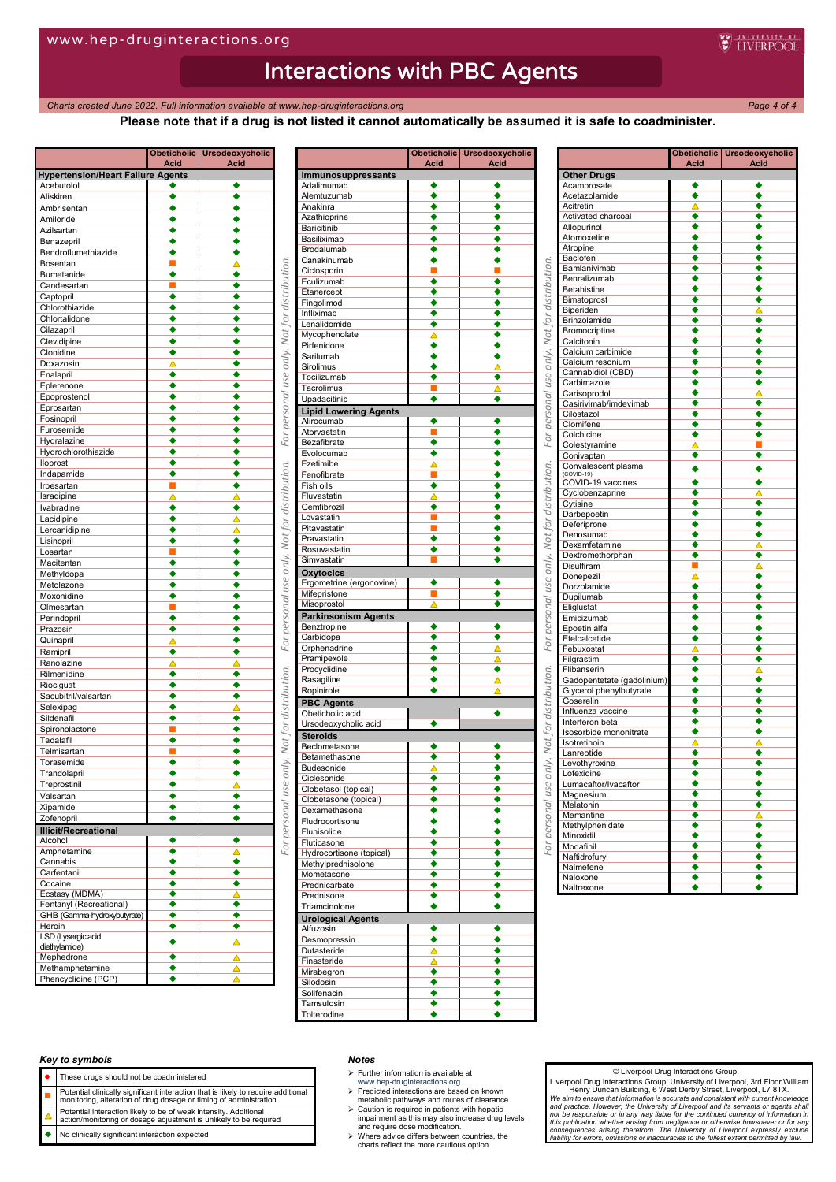*Charts created June* 2022. Full information available at www.hep-druginteractions.org Page 4 of 4<sup>2</sup>

**W** INERPOOL

## **Please note that if a drug is not listed it cannot automatically be assumed it is safe to coadminister.**

|                                          | Acid   | Obeticholic   Ursodeoxycholic<br>Acid |                                            |
|------------------------------------------|--------|---------------------------------------|--------------------------------------------|
| <b>Hypertension/Heart Failure Agents</b> |        |                                       |                                            |
| Acebutolol                               | ٠      |                                       |                                            |
| Aliskiren                                | ٠      | $\overline{\bullet}$                  |                                            |
| Ambrisentan<br>Amiloride                 | ٠      | ٠<br>٠                                |                                            |
| Azilsartan                               | ٠      | ٠                                     |                                            |
| Benazepril                               | ٠      | ٠                                     |                                            |
| Bendroflumethiazide                      |        | ٠                                     |                                            |
| Bosentan                                 | п      | Δ                                     |                                            |
| Bumetanide                               | ٠      | ٠                                     |                                            |
| Candesartan<br>Captopril                 | ٠      | ٠<br>٠                                |                                            |
| Chlorothiazide                           |        | ٠                                     |                                            |
| Chlortalidone                            |        | ٠                                     |                                            |
| Cilazapril                               | ٠      | ٠                                     |                                            |
| Clevidipine                              |        | ٠                                     |                                            |
| Clonidine                                | ٠      | ٠                                     |                                            |
| Doxazosin<br>Enalapril                   | Δ<br>٠ | ٠<br>٠                                |                                            |
| Eplerenone                               | ٠      | ٠                                     |                                            |
| Epoprostenol                             | ٠      | ٠                                     |                                            |
| Eprosartan                               | ٠      | ٠                                     |                                            |
| Fosinopril                               | ٠      | ٠                                     | For personal use only Not for distribution |
| Furosemide                               |        | ٠                                     |                                            |
| Hydralazine                              | ٠<br>٠ | ٠<br>٠                                |                                            |
| Hydrochlorothiazide<br>lloprost          | ٠      | ٠                                     |                                            |
| Indapamide                               | ٠      | ٠                                     |                                            |
| Irbesartan                               |        | ٠                                     |                                            |
| Isradipine                               | Δ      | Δ                                     |                                            |
| Ivabradine                               | ٠      | ٠                                     |                                            |
| Lacidipine                               | ٠      | Δ                                     |                                            |
| Lercanidipine<br>Lisinopril              | ٠<br>٠ | Δ<br>٠                                |                                            |
| Losartan                                 | г      | ٠                                     |                                            |
| Macitentan                               | ٠      | ٠                                     |                                            |
| Methyldopa                               | ٠      | ٠                                     | For nersonal use only Not for distribution |
| Metolazone                               | ٠      | ٠                                     |                                            |
| Moxonidine<br>Olmesartan                 | ٠<br>П | ٠<br>٠                                |                                            |
| Perindopril                              | ٠      | ٠                                     |                                            |
| Prazosin                                 | ٠      | ٠                                     |                                            |
| Quinapril                                | Δ      | ٠                                     |                                            |
| Ramipril                                 | ٠      | ٠                                     |                                            |
| Ranolazine                               | Δ      | Δ                                     |                                            |
| Rilmenidine<br>Riociguat                 | ٠<br>٠ | ٠<br>٠                                | only Not for distribution                  |
| Sacubitril/valsartan                     | ٠      | ٠                                     |                                            |
| Selexipag                                | ٠      | Δ                                     |                                            |
| Sildenafil                               | ٠      | ٠                                     |                                            |
| Spironolactone                           |        | ٠                                     |                                            |
| Tadalafil<br>Telmisartan                 | ٠<br>п | ٠<br>٠                                |                                            |
| Torasemide                               | ٠      | ٠                                     |                                            |
| Trandolapril                             | ٠      |                                       |                                            |
| Treprostinil                             |        | $\triangle$                           |                                            |
| Valsartan                                | ٠      | ٠                                     |                                            |
| Xipamide                                 |        | ٠                                     |                                            |
| Zofenopril                               | ٠      | ٠                                     |                                            |
| <b>Illicit/Recreational</b><br>Alcohol   | ٠      | ٠                                     | For nersonal use                           |
| Amphetamine                              | ٠      | Δ                                     |                                            |
| Cannabis                                 | ٠      | ٠                                     |                                            |
| Carfentanil                              | ٠      | ٠                                     |                                            |
| Cocaine<br>Ecstasy (MDMA)                | ٠<br>٠ | ٠<br>Δ                                |                                            |
| Fentanyl (Recreational)                  | ٠      | ٠                                     |                                            |
| GHB (Gamma-hydroxybutyrate)              | ◆      | ٠                                     |                                            |
| Heroin                                   | ٠      | ٠                                     |                                            |
| LSD (Lysergic acid                       |        | Δ                                     |                                            |
| diethylamide)<br>Mephedrone              | ٠      | Δ                                     |                                            |
| Methamphetamine                          | ٠      | Δ                                     |                                            |
| Phencyclidine (PCP)                      | ٠      | Δ                                     |                                            |

|                                       | Obeticholic<br><u>Acid</u> | <b>Ursodeoxycholic</b><br><u>Acid</u> |
|---------------------------------------|----------------------------|---------------------------------------|
| Immunosuppressants                    |                            |                                       |
| Adalimumab                            | ٠                          | ٠                                     |
| Alemtuzumab                           | ٠                          | ٠                                     |
| Anakinra                              | ٠                          | ٠                                     |
| Azathioprine                          | ٠                          |                                       |
| Baricitinib                           | ٠                          |                                       |
| Basiliximab                           | ∙                          | ٠                                     |
| Brodalumab                            | ٠                          |                                       |
| Canakinumab                           | ٠                          | ٠                                     |
| Ciclosporin                           | п                          |                                       |
| Eculizumab                            | ٠                          | ٠                                     |
| Etanercept                            | ٠                          |                                       |
| Fingolimod                            | ٠                          |                                       |
| Infliximab                            |                            |                                       |
| Lenalidomide                          | ٠                          | ٠                                     |
|                                       |                            |                                       |
| Mycophenolate<br>Pirfenidone          | Δ                          | ٠                                     |
|                                       | ٠                          |                                       |
| Sarilumab                             | ٠                          | ٠                                     |
| Sirolimus                             | ٠                          |                                       |
| Tocilizumab                           | ٠                          | ٠                                     |
| Tacrolimus                            | п                          | Δ                                     |
| Upadacitinib                          | ٠                          | ٠                                     |
| <b>Lipid Lowering Agents</b>          |                            |                                       |
| Alirocumab                            | ٠                          | ٠                                     |
| Atorvastatin                          | E                          | ٠                                     |
| Bezafibrate                           | ٠                          | ٠                                     |
| Evolocumab                            | ٠                          |                                       |
| Ezetimibe                             | $\triangleq$               |                                       |
| Fenofibrate                           |                            | ٠                                     |
| Fish oils                             | ٠                          |                                       |
| Fluvastatin                           | Δ                          | ٠                                     |
| Gemfibrozil                           | ٠                          |                                       |
| Lovastatin                            |                            | ٠                                     |
| Pitavastatin                          |                            |                                       |
| Pravastatin                           | ٠                          |                                       |
| Rosuvastatin                          |                            |                                       |
| Simvastatin                           |                            | ٠                                     |
|                                       |                            |                                       |
| <b>Oxytocics</b>                      |                            |                                       |
| Ergometrine (ergonovine)              |                            |                                       |
| Mifepristone                          |                            |                                       |
| Misoprostol                           | Δ                          |                                       |
| <b>Parkinsonism Agents</b>            |                            |                                       |
| Benztropine                           | ٠                          | ٠                                     |
| Carbidopa                             |                            |                                       |
| Orphenadrine                          | $\overline{\bullet}$       |                                       |
| Pramipexole                           |                            | Δ                                     |
| Procyclidine                          | ٠                          | ٠                                     |
| Rasagiline                            | ۰                          |                                       |
| Ropinirole                            |                            |                                       |
| <b>PBC Agents</b>                     |                            |                                       |
| Obeticholic acid                      |                            | ٠                                     |
| Ursodeoxycholic acid                  |                            |                                       |
| <b>Steroids</b>                       |                            |                                       |
| Beclometasone                         |                            |                                       |
| Betamethasone                         |                            |                                       |
| Budesonide                            |                            |                                       |
| Ciclesonide                           |                            |                                       |
| Clobetasol (topical)                  |                            |                                       |
| Clobetasone (topical)                 | ٠                          |                                       |
| Dexamethasone                         | ٠                          |                                       |
| Fludrocortisone                       | ٠                          | ٠                                     |
| Flunisolide                           | ٠                          | ٠                                     |
| Fluticasone                           | ٠                          | ٠                                     |
| Hydrocortisone (topical)              | ٠                          | ٠                                     |
| Methylprednisolone                    | ٠                          | ٠                                     |
| Mometasone                            | ٠                          | ٠                                     |
| Prednicarbate                         | ٠                          | ٠                                     |
| Prednisone                            | ٠                          | ٠                                     |
| Triamcinolone                         | ٠                          | ٠                                     |
|                                       |                            |                                       |
| <b>Urological Agents</b><br>Alfuzosin | ٠                          | ٠                                     |
|                                       |                            |                                       |
| Desmopressin                          | ٠                          | ٠                                     |
| Dutasteride                           | Δ                          | ٠                                     |
| Finasteride                           | Δ                          | ٠                                     |
| Mirabegron                            | ٠                          | ٠                                     |
| Silodosin                             | ٠                          | ٠                                     |
| Solifenacin                           | ٠                          | ٠                                     |
| Tamsulosin                            | ٠                          | ٠                                     |
| Tolterodine                           |                            |                                       |

|                                     | Acid                      | Obeticholic Ursodeoxycholic<br>Acid |
|-------------------------------------|---------------------------|-------------------------------------|
| <b>Other Drugs</b>                  |                           |                                     |
| Acamprosate                         |                           |                                     |
| Acetazolamide                       | ٠                         |                                     |
| Acitretin                           | Δ                         |                                     |
| Activated charcoal                  | ٠                         |                                     |
| Allopurinol                         | ٠<br>٠                    |                                     |
| Atomoxetine                         | ◆                         |                                     |
| Atropine                            |                           |                                     |
| Baclofen                            | ٠<br>٠                    |                                     |
| Bamlanivimab                        | ٠                         |                                     |
| Benralizumab<br><b>Betahistine</b>  | ٠                         |                                     |
| Bimatoprost                         | ٠                         |                                     |
| Biperiden                           | ٠                         |                                     |
| Brinzolamide                        | ٠                         | ٠                                   |
| Bromocriptine                       | ٠                         |                                     |
| Calcitonin                          | ٠                         | ٠                                   |
| Calcium carbimide                   | ٠                         |                                     |
| Calcium resonium                    |                           |                                     |
| Cannabidiol (CBD)                   | ٠                         |                                     |
| Carbimazole                         |                           |                                     |
| Carisoprodol                        | ٠                         |                                     |
| Casirivimab/imdevimab               | ٠                         | ٠                                   |
|                                     | ٠                         |                                     |
| Cilostazol                          | ٠                         |                                     |
| Clomifene<br>Colchicine             | ٠                         |                                     |
|                                     |                           |                                     |
| Colestyramine                       | Δ                         |                                     |
| Conivaptan                          | ٠                         |                                     |
| Convalescent plasma<br>$(COVID-19)$ |                           |                                     |
| COVID-19 vaccines                   | ٠                         |                                     |
| Cyclobenzaprine                     | ٠                         | Δ                                   |
| Cytisine                            | ٠                         | ٠                                   |
| Darbepoetin                         | ٠                         |                                     |
| Deferiprone                         | ٠                         |                                     |
| Denosumab                           |                           |                                     |
| Dexamfetamine                       | ٠                         |                                     |
| Dextromethorphan                    | ٠                         |                                     |
| Disulfiram                          |                           |                                     |
| Donepezil                           | Δ                         | ٠                                   |
| Dorzolamide                         | ٠                         | ٠                                   |
| Dupilumab                           | ٠                         |                                     |
| Eliglustat                          | ٠                         |                                     |
| Emicizumab                          | ٠                         |                                     |
| Epoetin alfa                        | ٠                         |                                     |
| Etelcalcetide                       | ٠                         |                                     |
| Febuxostat                          | Δ                         |                                     |
| Filgrastim                          | ٠                         |                                     |
| Flibanserin                         | ٠                         | Δ                                   |
| Gadopentetate (gadolinium)          | ◆                         | ٠                                   |
| Glycerol phenylbutyrate             | ∙                         |                                     |
| Goserelin                           |                           |                                     |
| Influenza vaccine                   | ◆                         |                                     |
| Interferon beta                     | $\overline{\bullet}$      |                                     |
| Isosorbide mononitrate              | ٠                         |                                     |
| Isotretinoin                        |                           |                                     |
| Lanreotide                          |                           |                                     |
| Levothyroxine                       | ٠                         | ٠                                   |
| I ofexidine                         |                           |                                     |
| Lumacaftor/Ivacaftor                |                           |                                     |
| Magnesium                           | ٠                         | ٠                                   |
| Melatonin                           | ٠                         | ٠                                   |
| Memantine                           | ٠                         |                                     |
| Methylphenidate                     | $\overline{\bullet}$      | ∙                                   |
| Minoxidil                           |                           | ٠                                   |
| Modafinil                           | $\frac{\bullet}{\bullet}$ |                                     |
| Naftidrofuryl                       |                           | ٠                                   |
| Nalmefene                           |                           | ٠                                   |
| Naloxone                            | $\overline{\bullet}$      | ٠                                   |
| Naltrexone                          |                           |                                     |
|                                     |                           |                                     |

## *Key to symbols*

- These drugs should not be coadministered
- 
- **Potential clinically significant interaction that is likely to require additional**<br>monitoring, alteration of drug dosage or timing of administration
- Potential interaction likely to be of weak intensity. Additional action/monitoring or dosage adjustment is unlikely to be required
- No clinically significant interaction expected

### *Notes*

- $\triangleright$  Further information is available at
- 
- www.hep-druginteractions.org Predicted interactions are based on known metabolic pathways and routes of clearance.
- Caution is required in patients with hepatic impairment as this may also increase drug levels and require dose modification. Where advice differs between countries, the charts reflect the more cautious option.
- 

## © Liverpool Drug Interactions Group,